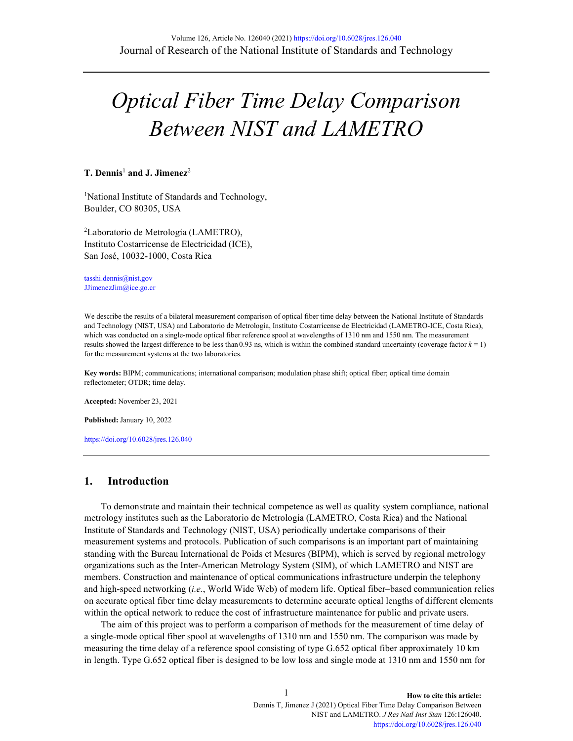# *Optical Fiber Time Delay Comparison Between NIST and LAMETRO*

#### **T. Dennis**<sup>1</sup> **and J. Jimenez**<sup>2</sup>

<sup>1</sup>National Institute of Standards and Technology, Boulder, CO 80305, USA

2 Laboratorio de Metrología (LAMETRO), Instituto Costarricense de Electricidad (ICE), San José, 10032-1000, Costa Rica

[tasshi.dennis@nist.gov](mailto:igor.vayshenker@nist.gov) [JJimenezJim@ice.go.cr](mailto:JJimenezJim@ice.go.cr)

We describe the results of a bilateral measurement comparison of optical fiber time delay between the National Institute of Standards and Technology (NIST, USA) and Laboratorio de Metrología, Instituto Costarricense de Electricidad (LAMETRO-ICE, Costa Rica), which was conducted on a single-mode optical fiber reference spool at wavelengths of 1310 nm and 1550 nm. The measurement results showed the largest difference to be less than  $0.93$  ns, which is within the combined standard uncertainty (coverage factor  $k = 1$ ) for the measurement systems at the two laboratories.

**Key words:** BIPM; communications; international comparison; modulation phase shift; optical fiber; optical time domain reflectometer; OTDR; time delay.

**Accepted:** November 23, 2021

**Published:** January 10, 2022

<https://doi.org/10.6028/jres.126.040>

### **1. Introduction**

To demonstrate and maintain their technical competence as well as quality system compliance, national metrology institutes such as the Laboratorio de Metrología (LAMETRO, Costa Rica) and the National Institute of Standards and Technology (NIST, USA) periodically undertake comparisons of their measurement systems and protocols. Publication of such comparisons is an important part of maintaining standing with the Bureau International de Poids et Mesures (BIPM), which is served by regional metrology organizations such as the Inter-American Metrology System (SIM), of which LAMETRO and NIST are members. Construction and maintenance of optical communications infrastructure underpin the telephony and high-speed networking (*i.e.*, World Wide Web) of modern life. Optical fiber–based communication relies on accurate optical fiber time delay measurements to determine accurate optical lengths of different elements within the optical network to reduce the cost of infrastructure maintenance for public and private users.

The aim of this project was to perform a comparison of methods for the measurement of time delay of a single-mode optical fiber spool at wavelengths of 1310 nm and 1550 nm. The comparison was made by measuring the time delay of a reference spool consisting of type G.652 optical fiber approximately 10 km in length. Type G.652 optical fiber is designed to be low loss and single mode at 1310 nm and 1550 nm for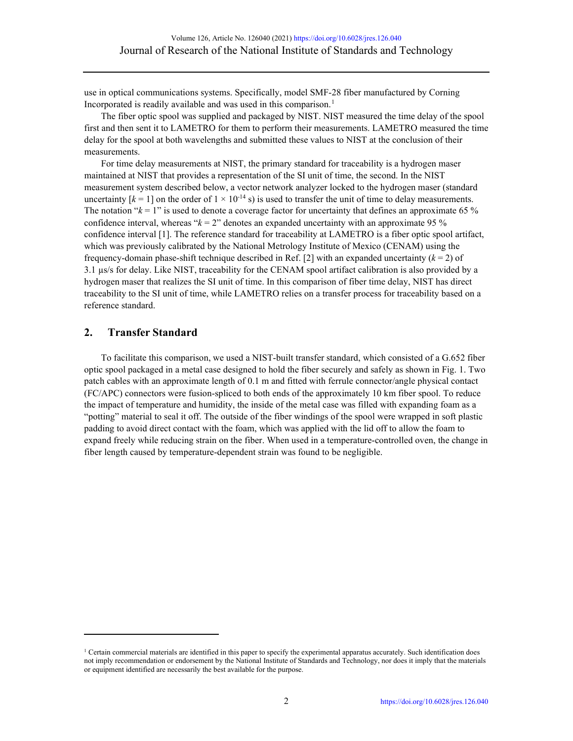use in optical communications systems. Specifically, model SMF-28 fiber manufactured by Corning Incorporated is readily available and was used in this comparison. [1](#page-1-0)

The fiber optic spool was supplied and packaged by NIST. NIST measured the time delay of the spool first and then sent it to LAMETRO for them to perform their measurements. LAMETRO measured the time delay for the spool at both wavelengths and submitted these values to NIST at the conclusion of their measurements.

For time delay measurements at NIST, the primary standard for traceability is a hydrogen maser maintained at NIST that provides a representation of the SI unit of time, the second. In the NIST measurement system described below, a vector network analyzer locked to the hydrogen maser (standard uncertainty  $[k = 1]$  on the order of  $1 \times 10^{-14}$  s) is used to transfer the unit of time to delay measurements. The notation " $k = 1$ " is used to denote a coverage factor for uncertainty that defines an approximate 65 % confidence interval, whereas " $k = 2$ " denotes an expanded uncertainty with an approximate 95 % confidence interval [1]. The reference standard for traceability at LAMETRO is a fiber optic spool artifact, which was previously calibrated by the National Metrology Institute of Mexico (CENAM) using the frequency-domain phase-shift technique described in Ref. [2] with an expanded uncertainty (*k* = 2) of 3.1 µs/s for delay. Like NIST, traceability for the CENAM spool artifact calibration is also provided by a hydrogen maser that realizes the SI unit of time. In this comparison of fiber time delay, NIST has direct traceability to the SI unit of time, while LAMETRO relies on a transfer process for traceability based on a reference standard.

## **2. Transfer Standard**

To facilitate this comparison, we used a NIST-built transfer standard, which consisted of a G.652 fiber optic spool packaged in a metal case designed to hold the fiber securely and safely as shown in Fig. 1. Two patch cables with an approximate length of 0.1 m and fitted with ferrule connector/angle physical contact (FC/APC) connectors were fusion-spliced to both ends of the approximately 10 km fiber spool. To reduce the impact of temperature and humidity, the inside of the metal case was filled with expanding foam as a "potting" material to seal it off. The outside of the fiber windings of the spool were wrapped in soft plastic padding to avoid direct contact with the foam, which was applied with the lid off to allow the foam to expand freely while reducing strain on the fiber. When used in a temperature-controlled oven, the change in fiber length caused by temperature-dependent strain was found to be negligible.

<span id="page-1-0"></span> $1$  Certain commercial materials are identified in this paper to specify the experimental apparatus accurately. Such identification does not imply recommendation or endorsement by the National Institute of Standards and Technology, nor does it imply that the materials or equipment identified are necessarily the best available for the purpose.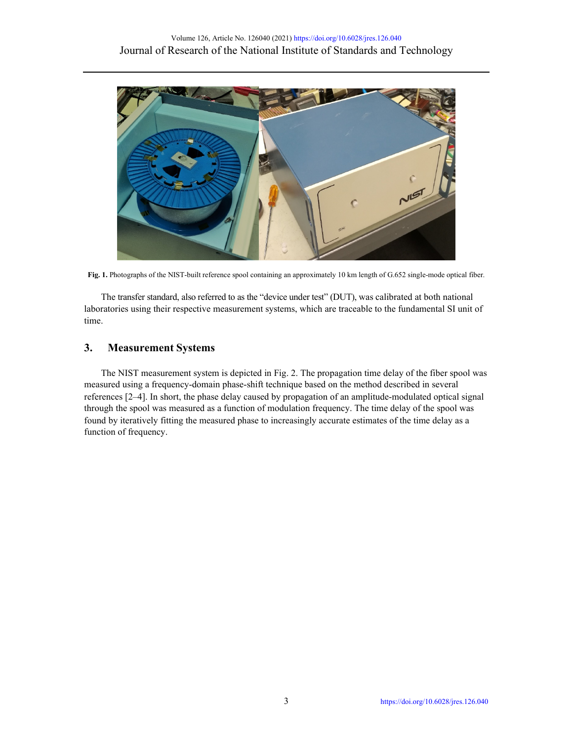

**Fig. 1.** Photographs of the NIST-built reference spool containing an approximately 10 km length of G.652 single-mode optical fiber.

The transfer standard, also referred to as the "device under test" (DUT), was calibrated at both national laboratories using their respective measurement systems, which are traceable to the fundamental SI unit of time.

## **3. Measurement Systems**

The NIST measurement system is depicted in Fig. 2. The propagation time delay of the fiber spool was measured using a frequency-domain phase-shift technique based on the method described in several references [2–4]. In short, the phase delay caused by propagation of an amplitude-modulated optical signal through the spool was measured as a function of modulation frequency. The time delay of the spool was found by iteratively fitting the measured phase to increasingly accurate estimates of the time delay as a function of frequency.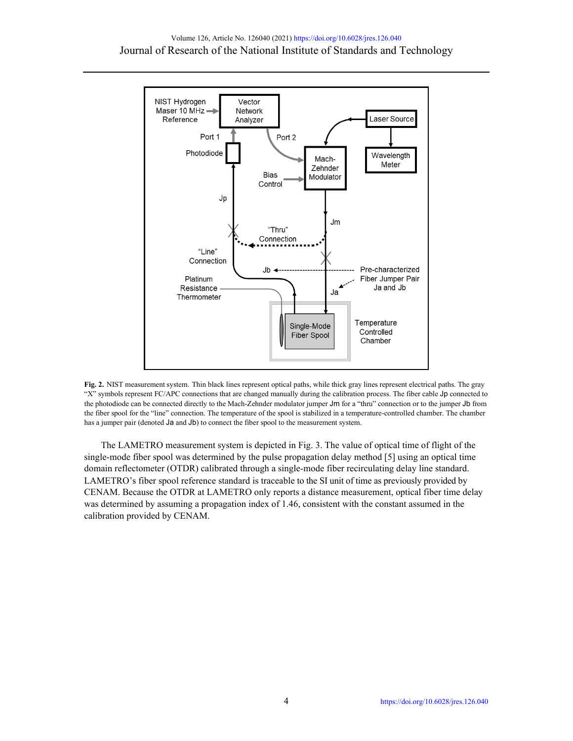



The LAMETRO measurement system is depicted in Fig. 3. The value of optical time of flight of the single-mode fiber spool was determined by the pulse propagation delay method [5] using an optical time domain reflectometer (OTDR) calibrated through a single-mode fiber recirculating delay line standard. LAMETRO's fiber spool reference standard is traceable to the SI unit of time as previously provided by CENAM. Because the OTDR at LAMETRO only reports a distance measurement, optical fiber time delay was determined by assuming a propagation index of 1.46, consistent with the constant assumed in the calibration provided by CENAM.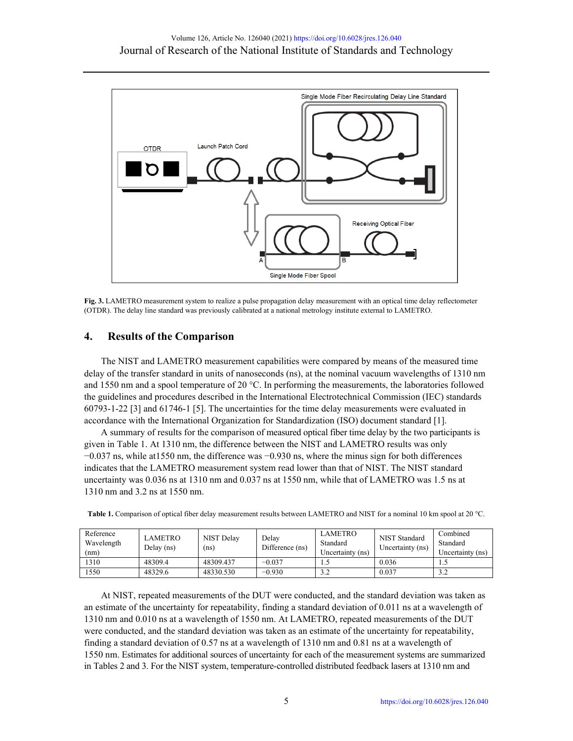

**Fig. 3.** LAMETRO measurement system to realize a pulse propagation delay measurement with an optical time delay reflectometer (OTDR). The delay line standard was previously calibrated at a national metrology institute external to LAMETRO.

# **4. Results of the Comparison**

The NIST and LAMETRO measurement capabilities were compared by means of the measured time delay of the transfer standard in units of nanoseconds (ns), at the nominal vacuum wavelengths of 1310 nm and 1550 nm and a spool temperature of 20  $^{\circ}$ C. In performing the measurements, the laboratories followed the guidelines and procedures described in the International Electrotechnical Commission (IEC) standards 60793-1-22 [3] and 61746-1 [5]. The uncertainties for the time delay measurements were evaluated in accordance with the International Organization for Standardization (ISO) document standard [1].

A summary of results for the comparison of measured optical fiber time delay by the two participants is given in Table 1. At 1310 nm, the difference between the NIST and LAMETRO results was only −0.037 ns, while at1550 nm, the difference was −0.930 ns, where the minus sign for both differences indicates that the LAMETRO measurement system read lower than that of NIST. The NIST standard uncertainty was 0.036 ns at 1310 nm and 0.037 ns at 1550 nm, while that of LAMETRO was 1.5 ns at 1310 nm and 3.2 ns at 1550 nm.

| Reference<br>Wavelength<br>(nm) | LAMETRO<br>Delay (ns) | NIST Delay<br>(ns) | Delav<br>Difference (ns) | <b>LAMETRO</b><br>Standard<br>Uncertainty (ns) | NIST Standard<br>Uncertainty (ns) | Combined<br>Standard<br>Uncertainty (ns) |
|---------------------------------|-----------------------|--------------------|--------------------------|------------------------------------------------|-----------------------------------|------------------------------------------|
| 1310                            | 48309.4               | 48309.437          | $-0.037$                 | 1.5                                            | 0.036                             |                                          |
| 1550                            | 48329.6               | 48330.530          | $-0.930$                 | 3.2                                            | 0.037                             |                                          |

**Table 1.** Comparison of optical fiber delay measurement results between LAMETRO and NIST for a nominal 10 km spool at 20 °C.

At NIST, repeated measurements of the DUT were conducted, and the standard deviation was taken as an estimate of the uncertainty for repeatability, finding a standard deviation of 0.011 ns at a wavelength of 1310 nm and 0.010 ns at a wavelength of 1550 nm. At LAMETRO, repeated measurements of the DUT were conducted, and the standard deviation was taken as an estimate of the uncertainty for repeatability, finding a standard deviation of 0.57 ns at a wavelength of 1310 nm and 0.81 ns at a wavelength of 1550 nm. Estimates for additional sources of uncertainty for each of the measurement systems are summarized in Tables 2 and 3. For the NIST system, temperature-controlled distributed feedback lasers at 1310 nm and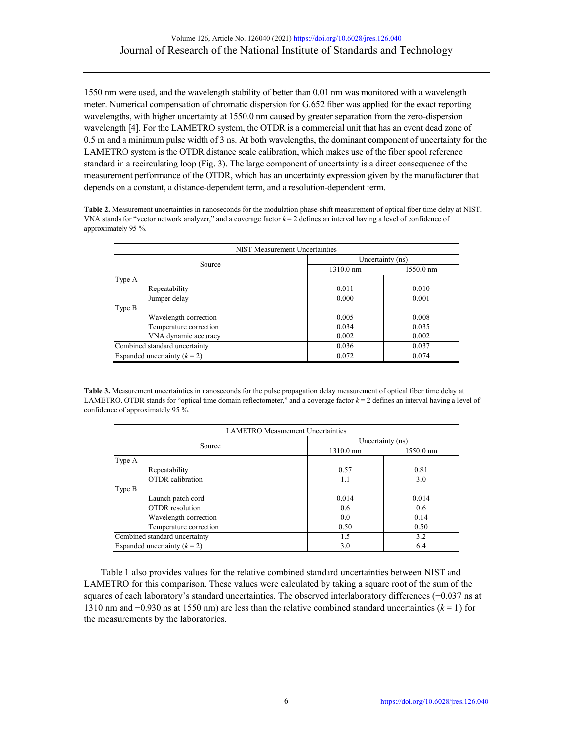1550 nm were used, and the wavelength stability of better than 0.01 nm was monitored with a wavelength meter. Numerical compensation of chromatic dispersion for G.652 fiber was applied for the exact reporting wavelengths, with higher uncertainty at 1550.0 nm caused by greater separation from the zero-dispersion wavelength [4]. For the LAMETRO system, the OTDR is a commercial unit that has an event dead zone of 0.5 m and a minimum pulse width of 3 ns. At both wavelengths, the dominant component of uncertainty for the LAMETRO system is the OTDR distance scale calibration, which makes use of the fiber spool reference standard in a recirculating loop (Fig. 3). The large component of uncertainty is a direct consequence of the measurement performance of the OTDR, which has an uncertainty expression given by the manufacturer that depends on a constant, a distance-dependent term, and a resolution-dependent term.

**Table 2.** Measurement uncertainties in nanoseconds for the modulation phase-shift measurement of optical fiber time delay at NIST. VNA stands for "vector network analyzer," and a coverage factor *k* = 2 defines an interval having a level of confidence of approximately 95 %.

| NIST Measurement Uncertainties |                  |           |  |  |  |
|--------------------------------|------------------|-----------|--|--|--|
| Source                         | Uncertainty (ns) |           |  |  |  |
|                                | 1310.0 nm        | 1550.0 nm |  |  |  |
| Type A                         |                  |           |  |  |  |
| Repeatability                  | 0.011            | 0.010     |  |  |  |
| Jumper delay                   | 0.000            | 0.001     |  |  |  |
| Type B                         |                  |           |  |  |  |
| Wavelength correction          | 0.005            | 0.008     |  |  |  |
| Temperature correction         | 0.034            | 0.035     |  |  |  |
| VNA dynamic accuracy           | 0.002            | 0.002     |  |  |  |
| Combined standard uncertainty  | 0.036            | 0.037     |  |  |  |
| Expanded uncertainty $(k = 2)$ | 0.072            | 0.074     |  |  |  |

**Table 3.** Measurement uncertainties in nanoseconds for the pulse propagation delay measurement of optical fiber time delay at LAMETRO. OTDR stands for "optical time domain reflectometer," and a coverage factor  $k = 2$  defines an interval having a level of confidence of approximately 95 %.

| <b>LAMETRO</b> Measurement Uncertainties |                     |               |  |  |  |
|------------------------------------------|---------------------|---------------|--|--|--|
| Source                                   | Uncertainty (ns)    |               |  |  |  |
|                                          | $1310.0 \text{ nm}$ | 1550.0 nm     |  |  |  |
| Type A                                   |                     |               |  |  |  |
| Repeatability                            | 0.57                | 0.81          |  |  |  |
| <b>OTDR</b> calibration                  | 1.1                 | 3.0           |  |  |  |
| Type B                                   |                     |               |  |  |  |
| Launch patch cord                        | 0.014               | 0.014         |  |  |  |
| OTDR resolution                          | 0.6                 | $0.6^{\circ}$ |  |  |  |
| Wavelength correction                    | 0.0                 | 0.14          |  |  |  |
| Temperature correction                   | 0.50                | 0.50          |  |  |  |
| Combined standard uncertainty            | 1.5                 | 3.2           |  |  |  |
| Expanded uncertainty $(k = 2)$           | 3.0                 | 6.4           |  |  |  |

Table 1 also provides values for the relative combined standard uncertainties between NIST and LAMETRO for this comparison. These values were calculated by taking a square root of the sum of the squares of each laboratory's standard uncertainties. The observed interlaboratory differences (−0.037 ns at 1310 nm and −0.930 ns at 1550 nm) are less than the relative combined standard uncertainties (*k* = 1) for the measurements by the laboratories.